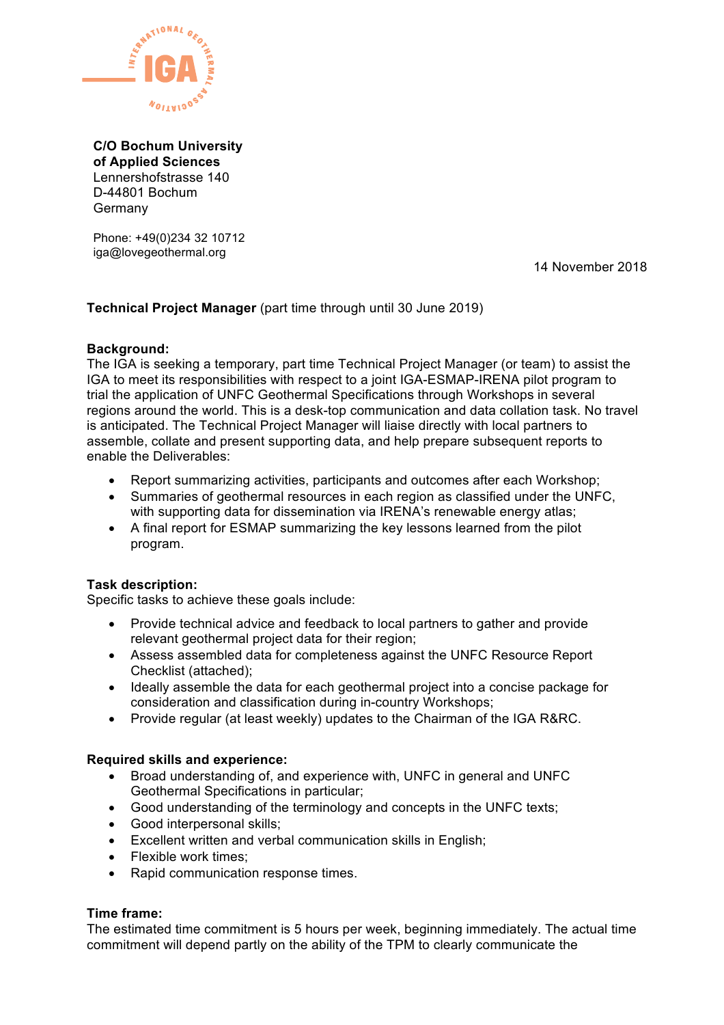

**C/O Bochum University of Applied Sciences** Lennershofstrasse 140 D-44801 Bochum Germany

Phone: +49(0)234 32 10712 iga@lovegeothermal.org

14 November 2018

## **Technical Project Manager** (part time through until 30 June 2019)

## **Background:**

The IGA is seeking a temporary, part time Technical Project Manager (or team) to assist the IGA to meet its responsibilities with respect to a joint IGA-ESMAP-IRENA pilot program to trial the application of UNFC Geothermal Specifications through Workshops in several regions around the world. This is a desk-top communication and data collation task. No travel is anticipated. The Technical Project Manager will liaise directly with local partners to assemble, collate and present supporting data, and help prepare subsequent reports to enable the Deliverables:

- Report summarizing activities, participants and outcomes after each Workshop;
- Summaries of geothermal resources in each region as classified under the UNFC, with supporting data for dissemination via IRENA's renewable energy atlas;
- A final report for ESMAP summarizing the key lessons learned from the pilot program.

## **Task description:**

Specific tasks to achieve these goals include:

- Provide technical advice and feedback to local partners to gather and provide relevant geothermal project data for their region;
- Assess assembled data for completeness against the UNFC Resource Report Checklist (attached);
- Ideally assemble the data for each geothermal project into a concise package for consideration and classification during in-country Workshops;
- Provide regular (at least weekly) updates to the Chairman of the IGA R&RC.

## **Required skills and experience:**

- Broad understanding of, and experience with, UNFC in general and UNFC Geothermal Specifications in particular;
- Good understanding of the terminology and concepts in the UNFC texts;
- Good interpersonal skills;
- Excellent written and verbal communication skills in English;
- Flexible work times:
- Rapid communication response times.

## **Time frame:**

The estimated time commitment is 5 hours per week, beginning immediately. The actual time commitment will depend partly on the ability of the TPM to clearly communicate the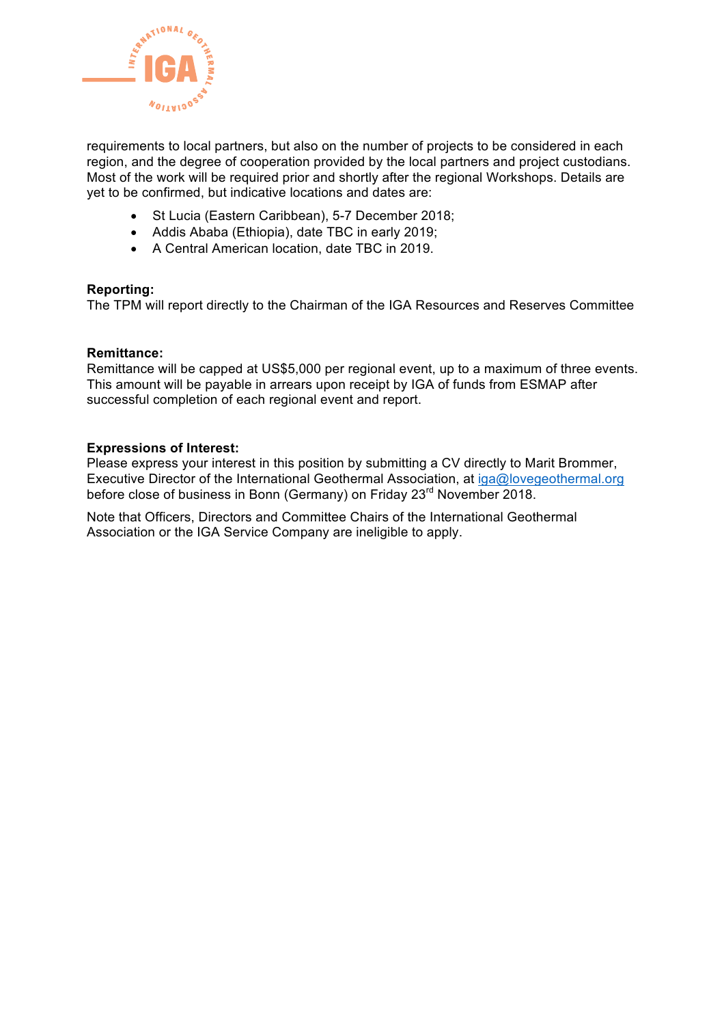

requirements to local partners, but also on the number of projects to be considered in each region, and the degree of cooperation provided by the local partners and project custodians. Most of the work will be required prior and shortly after the regional Workshops. Details are yet to be confirmed, but indicative locations and dates are:

- St Lucia (Eastern Caribbean), 5-7 December 2018;
- Addis Ababa (Ethiopia), date TBC in early 2019;
- A Central American location, date TBC in 2019.

## **Reporting:**

The TPM will report directly to the Chairman of the IGA Resources and Reserves Committee

## **Remittance:**

Remittance will be capped at US\$5,000 per regional event, up to a maximum of three events. This amount will be payable in arrears upon receipt by IGA of funds from ESMAP after successful completion of each regional event and report.

## **Expressions of Interest:**

Please express your interest in this position by submitting a CV directly to Marit Brommer, Executive Director of the International Geothermal Association, at iga@lovegeothermal.org before close of business in Bonn (Germany) on Friday 23<sup>rd</sup> November 2018.

Note that Officers, Directors and Committee Chairs of the International Geothermal Association or the IGA Service Company are ineligible to apply.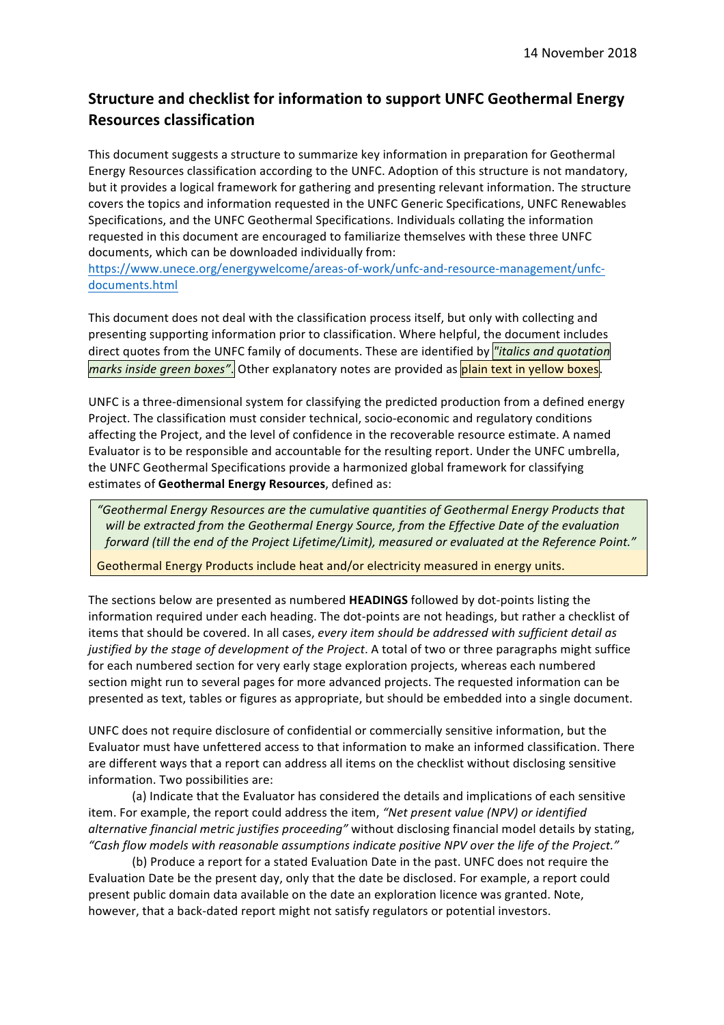# **Structure and checklist for information to support UNFC Geothermal Energy Resources classification**

This document suggests a structure to summarize key information in preparation for Geothermal Energy Resources classification according to the UNFC. Adoption of this structure is not mandatory, but it provides a logical framework for gathering and presenting relevant information. The structure covers the topics and information requested in the UNFC Generic Specifications, UNFC Renewables Specifications, and the UNFC Geothermal Specifications. Individuals collating the information requested in this document are encouraged to familiarize themselves with these three UNFC documents, which can be downloaded individually from:

https://www.unece.org/energywelcome/areas-of-work/unfc-and-resource-management/unfcdocuments.html

This document does not deal with the classification process itself, but only with collecting and presenting supporting information prior to classification. Where helpful, the document includes direct quotes from the UNFC family of documents. These are identified by *"italics and quotation marks inside green boxes"*. Other explanatory notes are provided as **plain text in yellow boxes**.

UNFC is a three-dimensional system for classifying the predicted production from a defined energy Project. The classification must consider technical, socio-economic and regulatory conditions affecting the Project, and the level of confidence in the recoverable resource estimate. A named Evaluator is to be responsible and accountable for the resulting report. Under the UNFC umbrella, the UNFC Geothermal Specifications provide a harmonized global framework for classifying estimates of Geothermal Energy Resources, defined as:

"Geothermal Energy Resources are the cumulative quantities of Geothermal Energy Products that will be extracted from the Geothermal Energy Source, from the Effective Date of the evaluation forward (till the end of the Project Lifetime/Limit), measured or evaluated at the Reference Point."

Geothermal Energy Products include heat and/or electricity measured in energy units.

The sections below are presented as numbered **HEADINGS** followed by dot-points listing the information required under each heading. The dot-points are not headings, but rather a checklist of items that should be covered. In all cases, *every item should be addressed with sufficient detail as justified by the stage of development of the Project*. A total of two or three paragraphs might suffice for each numbered section for very early stage exploration projects, whereas each numbered section might run to several pages for more advanced projects. The requested information can be presented as text, tables or figures as appropriate, but should be embedded into a single document.

UNFC does not require disclosure of confidential or commercially sensitive information, but the Evaluator must have unfettered access to that information to make an informed classification. There are different ways that a report can address all items on the checklist without disclosing sensitive information. Two possibilities are:

(a) Indicate that the Evaluator has considered the details and implications of each sensitive item. For example, the report could address the item, "Net present value (NPV) or identified *alternative financial metric justifies proceeding"* without disclosing financial model details by stating, *"Cash flow models with reasonable assumptions indicate positive NPV over the life of the Project."*

(b) Produce a report for a stated Evaluation Date in the past. UNFC does not require the Evaluation Date be the present day, only that the date be disclosed. For example, a report could present public domain data available on the date an exploration licence was granted. Note, however, that a back-dated report might not satisfy regulators or potential investors.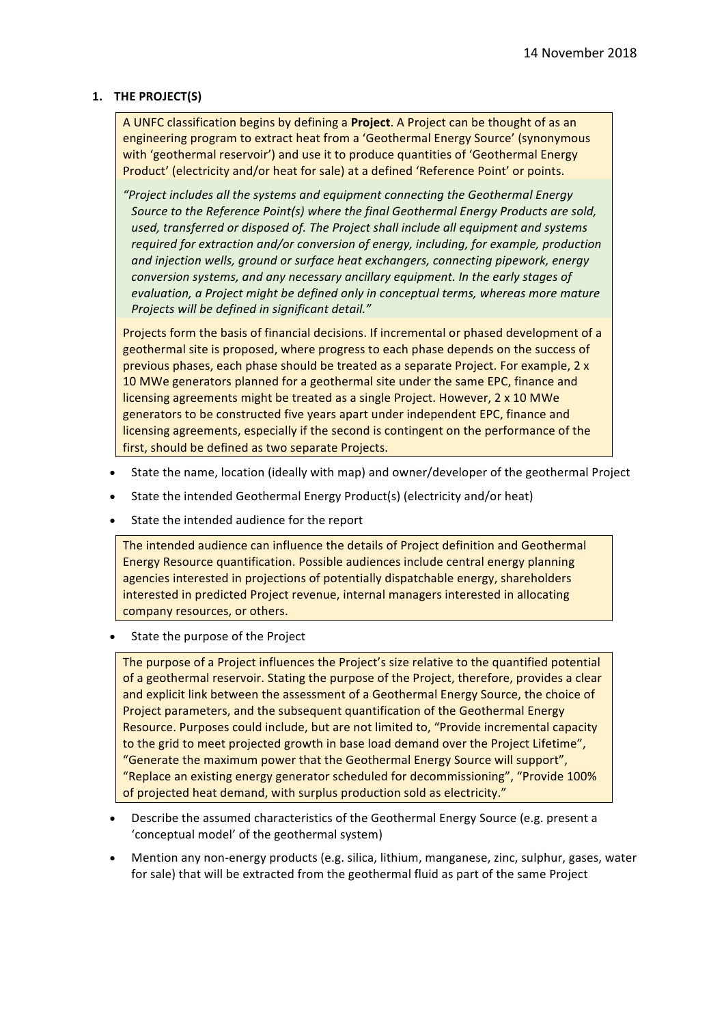#### 1. **THE PROJECT(S)**

A UNFC classification begins by defining a **Project**. A Project can be thought of as an engineering program to extract heat from a 'Geothermal Energy Source' (synonymous with 'geothermal reservoir') and use it to produce quantities of 'Geothermal Energy Product' (electricity and/or heat for sale) at a defined 'Reference Point' or points.

*"Project includes all the systems and equipment connecting the Geothermal Energy Source to the Reference Point(s)* where the final Geothermal Energy Products are sold, used, transferred or disposed of. The Project shall include all equipment and systems *required for extraction and/or conversion of energy, including, for example, production* and injection wells, ground or surface heat exchangers, connecting pipework, energy *conversion systems, and any necessary ancillary equipment. In the early stages of evaluation, a Project might be defined only in conceptual terms, whereas more mature Projects will be defined in significant detail."*

Projects form the basis of financial decisions. If incremental or phased development of a geothermal site is proposed, where progress to each phase depends on the success of previous phases, each phase should be treated as a separate Project. For example,  $2 \times$ 10 MWe generators planned for a geothermal site under the same EPC, finance and licensing agreements might be treated as a single Project. However, 2 x 10 MWe generators to be constructed five years apart under independent EPC, finance and licensing agreements, especially if the second is contingent on the performance of the first, should be defined as two separate Projects.

- State the name, location (ideally with map) and owner/developer of the geothermal Project
- State the intended Geothermal Energy Product(s) (electricity and/or heat)
- State the intended audience for the report

The intended audience can influence the details of Project definition and Geothermal Energy Resource quantification. Possible audiences include central energy planning agencies interested in projections of potentially dispatchable energy, shareholders interested in predicted Project revenue, internal managers interested in allocating company resources, or others.

State the purpose of the Project

The purpose of a Project influences the Project's size relative to the quantified potential of a geothermal reservoir. Stating the purpose of the Project, therefore, provides a clear and explicit link between the assessment of a Geothermal Energy Source, the choice of Project parameters, and the subsequent quantification of the Geothermal Energy Resource. Purposes could include, but are not limited to, "Provide incremental capacity to the grid to meet projected growth in base load demand over the Project Lifetime", "Generate the maximum power that the Geothermal Energy Source will support", "Replace an existing energy generator scheduled for decommissioning", "Provide 100% of projected heat demand, with surplus production sold as electricity."

- Describe the assumed characteristics of the Geothermal Energy Source (e.g. present a 'conceptual model' of the geothermal system)
- Mention any non-energy products (e.g. silica, lithium, manganese, zinc, sulphur, gases, water for sale) that will be extracted from the geothermal fluid as part of the same Project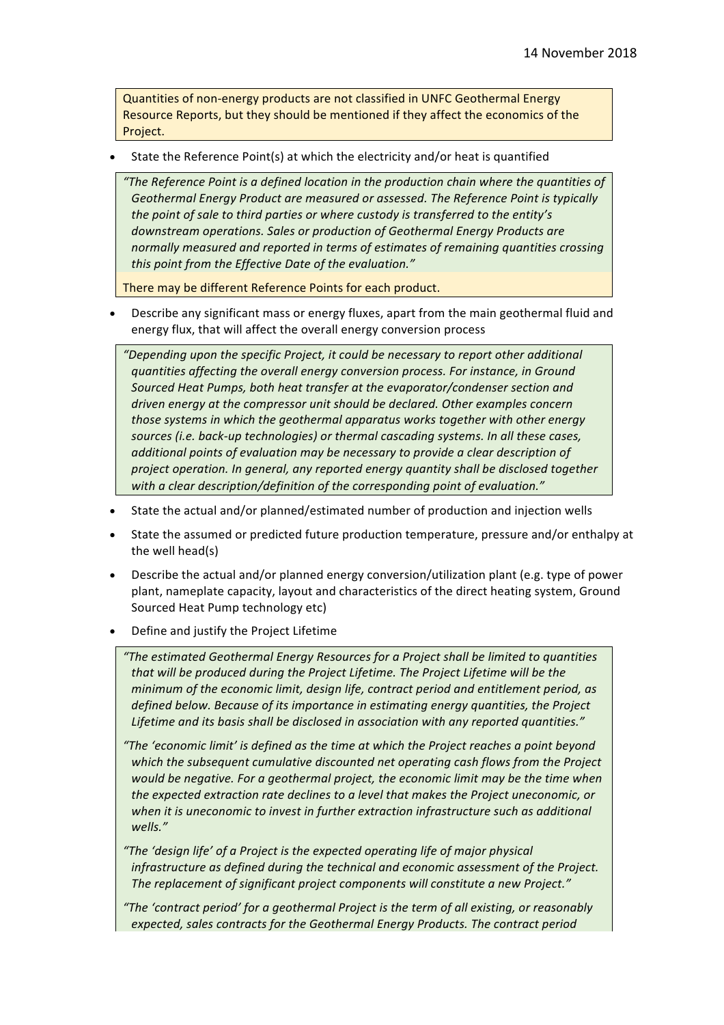Quantities of non-energy products are not classified in UNFC Geothermal Energy Resource Reports, but they should be mentioned if they affect the economics of the Project.

State the Reference Point(s) at which the electricity and/or heat is quantified

"The Reference Point is a defined location in the production chain where the quantities of Geothermal Energy Product are measured or assessed. The Reference Point is typically *the point of sale to third parties or where custody is transferred to the entity's* downstream operations. Sales or production of Geothermal Energy Products are normally measured and reported in terms of estimates of remaining quantities crossing this point from the *Effective Date of the evaluation."* 

There may be different Reference Points for each product.

Describe any significant mass or energy fluxes, apart from the main geothermal fluid and energy flux, that will affect the overall energy conversion process

*"Depending upon the specific Project, it could be necessary to report other additional quantities affecting the overall energy conversion process. For instance, in Ground* Sourced Heat Pumps, both heat transfer at the evaporator/condenser section and *driven energy at the compressor unit should be declared. Other examples concern those systems in which the geothermal apparatus works together with other energy* sources (*i.e.* back-up technologies) or thermal cascading systems. In all these cases, *additional points of evaluation may be necessary to provide a clear description of project operation.* In general, any reported energy quantity shall be disclosed together with a clear description/definition of the corresponding point of evaluation."

- State the actual and/or planned/estimated number of production and injection wells
- State the assumed or predicted future production temperature, pressure and/or enthalpy at the well head(s)
- Describe the actual and/or planned energy conversion/utilization plant (e.g. type of power plant, nameplate capacity, layout and characteristics of the direct heating system, Ground Sourced Heat Pump technology etc)
- Define and justify the Project Lifetime

"The estimated Geothermal Energy Resources for a Project shall be limited to quantities *that* will be produced during the Project Lifetime. The Project Lifetime will be the *minimum of the economic limit, design life, contract period and entitlement period, as defined below. Because of its importance in estimating energy quantities, the Project* Lifetime and its basis shall be disclosed in association with any reported quantities."

- "The 'economic limit' is defined as the time at which the Project reaches a point beyond which the subsequent cumulative discounted net operating cash flows from the Project *would be negative. For a geothermal project, the economic limit may be the time when the expected extraction rate declines to a level that makes the Project uneconomic, or* when it is uneconomic to invest in further extraction infrastructure such as additional *wells."*
- "The 'design life' of a Project is the expected operating life of major physical *infrastructure as defined during the technical and economic assessment of the Project.* The replacement of significant project components will constitute a new Project."

"The 'contract period' for a geothermal Project is the term of all existing, or reasonably expected, sales contracts for the Geothermal Energy Products. The contract period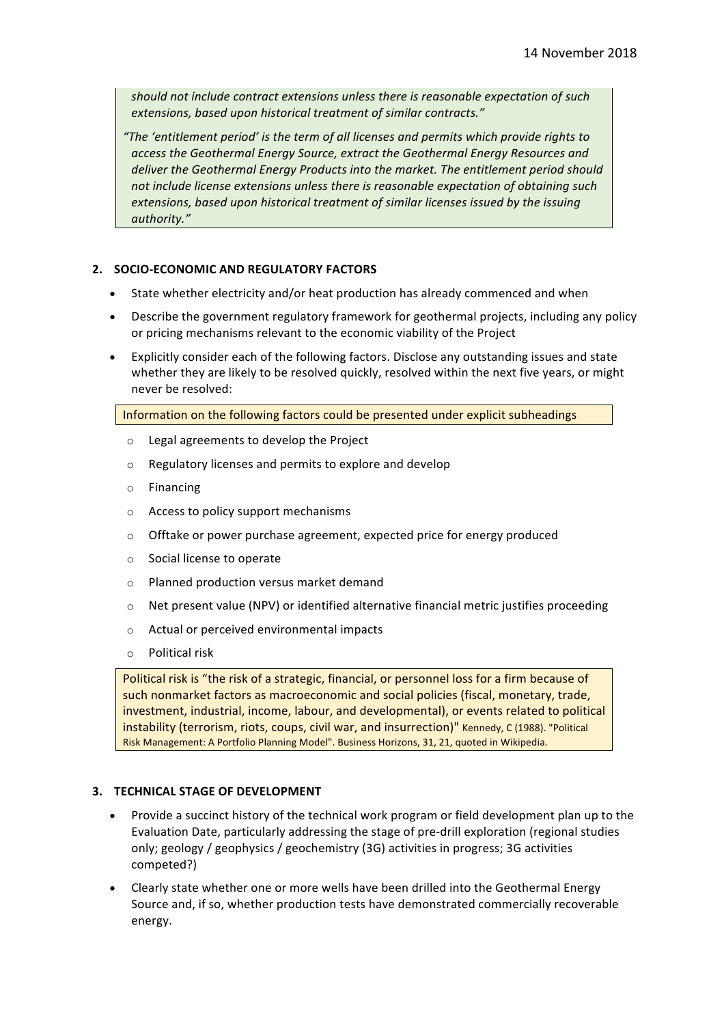should not include contract extensions unless there is reasonable expectation of such extensions, based upon historical treatment of similar contracts."

*"The 'entitlement period' is the term of all licenses and permits which provide rights to*  access the Geothermal Energy Source, extract the Geothermal Energy Resources and deliver the Geothermal Energy Products into the market. The entitlement period should not include license extensions unless there is reasonable expectation of obtaining such extensions, based upon historical treatment of similar licenses issued by the issuing *authority."*

#### **2. SOCIO-ECONOMIC AND REGULATORY FACTORS**

- State whether electricity and/or heat production has already commenced and when
- Describe the government regulatory framework for geothermal projects, including any policy or pricing mechanisms relevant to the economic viability of the Project
- Explicitly consider each of the following factors. Disclose any outstanding issues and state whether they are likely to be resolved quickly, resolved within the next five years, or might never be resolved:

Information on the following factors could be presented under explicit subheadings

- $\circ$  Legal agreements to develop the Project
- $\circ$  Regulatory licenses and permits to explore and develop
- o Financing
- $\circ$  Access to policy support mechanisms
- $\circ$  Offtake or power purchase agreement, expected price for energy produced
- $\circ$  Social license to operate
- o Planned production versus market demand
- $\circ$  Net present value (NPV) or identified alternative financial metric justifies proceeding
- $\circ$  Actual or perceived environmental impacts
- $\circ$  Political risk

Political risk is "the risk of a strategic, financial, or personnel loss for a firm because of such nonmarket factors as macroeconomic and social policies (fiscal, monetary, trade, investment, industrial, income, labour, and developmental), or events related to political instability (terrorism, riots, coups, civil war, and insurrection)" Kennedy, C (1988). "Political Risk Management: A Portfolio Planning Model". Business Horizons, 31, 21, quoted in Wikipedia.

#### **3. TECHNICAL STAGE OF DEVELOPMENT**

- Provide a succinct history of the technical work program or field development plan up to the Evaluation Date, particularly addressing the stage of pre-drill exploration (regional studies only; geology / geophysics / geochemistry (3G) activities in progress; 3G activities competed?)
- Clearly state whether one or more wells have been drilled into the Geothermal Energy Source and, if so, whether production tests have demonstrated commercially recoverable energy.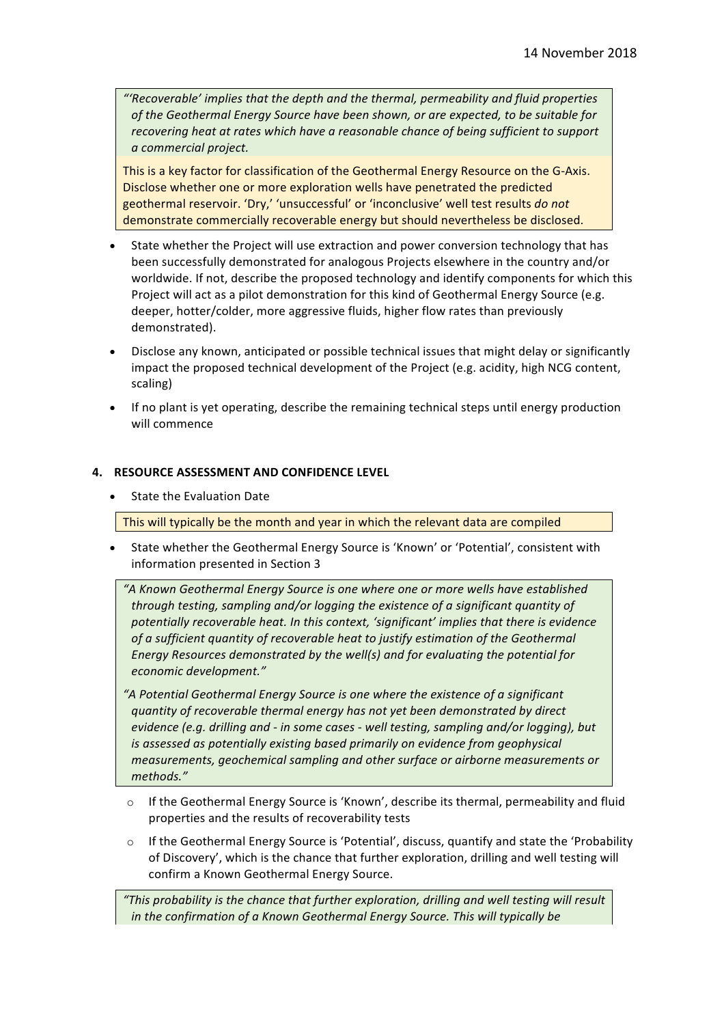*"'Recoverable' implies that the depth and the thermal, permeability and fluid properties*  of the Geothermal Energy Source have been shown, or are expected, to be suitable for *recovering heat at rates which have a reasonable chance of being sufficient to support a commercial project.*

This is a key factor for classification of the Geothermal Energy Resource on the G-Axis. Disclose whether one or more exploration wells have penetrated the predicted geothermal reservoir. 'Dry,' 'unsuccessful' or 'inconclusive' well test results *do not* demonstrate commercially recoverable energy but should nevertheless be disclosed.

- State whether the Project will use extraction and power conversion technology that has been successfully demonstrated for analogous Projects elsewhere in the country and/or worldwide. If not, describe the proposed technology and identify components for which this Project will act as a pilot demonstration for this kind of Geothermal Energy Source (e.g. deeper, hotter/colder, more aggressive fluids, higher flow rates than previously demonstrated).
- Disclose any known, anticipated or possible technical issues that might delay or significantly impact the proposed technical development of the Project (e.g. acidity, high NCG content, scaling)
- If no plant is yet operating, describe the remaining technical steps until energy production will commence

#### **4. RESOURCE ASSESSMENT AND CONFIDENCE LEVEL**

State the Evaluation Date

This will typically be the month and year in which the relevant data are compiled

State whether the Geothermal Energy Source is 'Known' or 'Potential', consistent with information presented in Section 3

*"A Known Geothermal Energy Source is one where one or more wells have established*  through testing, sampling and/or logging the existence of a significant quantity of potentially recoverable heat. In this context, 'significant' implies that there is evidence of a sufficient quantity of recoverable heat to justify estimation of the Geothermal *Energy Resources demonstrated by the well(s)* and for evaluating the potential for *economic development."*

"A Potential Geothermal Energy Source is one where the existence of a significant *quantity of recoverable thermal energy has not yet been demonstrated by direct evidence (e.g. drilling and - in some cases - well testing, sampling and/or logging), but is* assessed as potentially existing based primarily on evidence from geophysical *measurements, geochemical sampling and other surface or airborne measurements or methods."*

- $\circ$  If the Geothermal Energy Source is 'Known', describe its thermal, permeability and fluid properties and the results of recoverability tests
- $\circ$  If the Geothermal Energy Source is 'Potential', discuss, quantify and state the 'Probability of Discovery', which is the chance that further exploration, drilling and well testing will confirm a Known Geothermal Energy Source.

"This probability is the chance that further exploration, drilling and well testing will result *in the confirmation of a Known Geothermal Energy Source. This will typically be*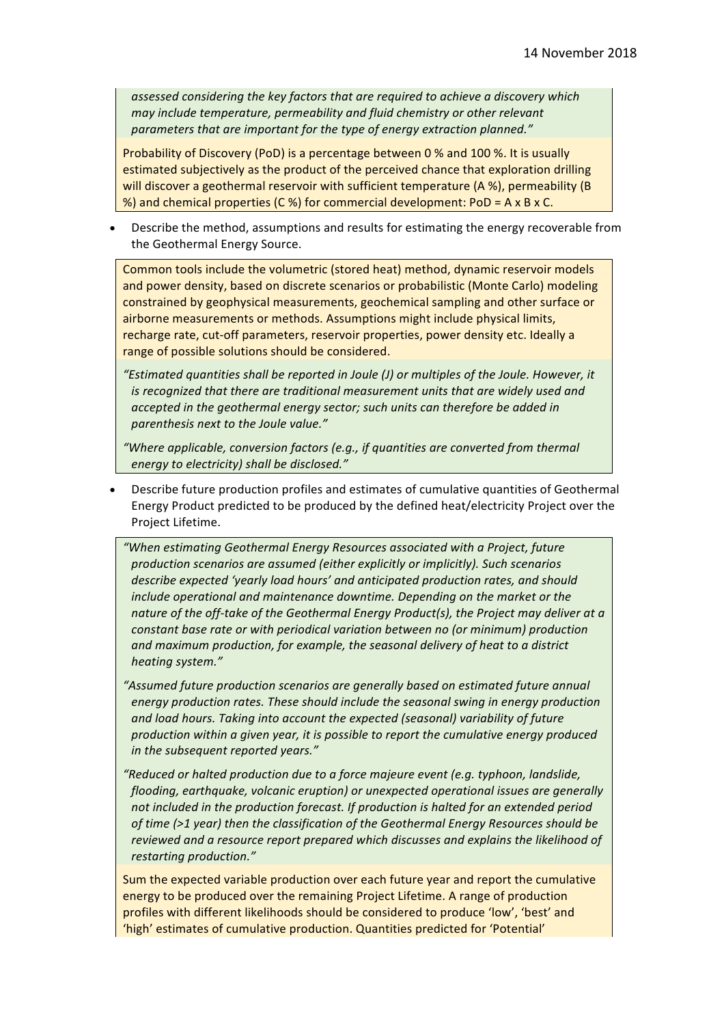assessed considering the key factors that are required to achieve a discovery which *may include temperature, permeability and fluid chemistry or other relevant* parameters that are important for the type of energy extraction planned."

Probability of Discovery (PoD) is a percentage between 0 % and 100 %. It is usually estimated subjectively as the product of the perceived chance that exploration drilling will discover a geothermal reservoir with sufficient temperature  $(A %)$ , permeability  $(B$ %) and chemical properties (C %) for commercial development:  $PoD = A \times B \times C$ .

Describe the method, assumptions and results for estimating the energy recoverable from the Geothermal Energy Source.

Common tools include the volumetric (stored heat) method, dynamic reservoir models and power density, based on discrete scenarios or probabilistic (Monte Carlo) modeling constrained by geophysical measurements, geochemical sampling and other surface or airborne measurements or methods. Assumptions might include physical limits, recharge rate, cut-off parameters, reservoir properties, power density etc. Ideally a range of possible solutions should be considered.

*"Estimated quantities shall be reported in Joule (J) or multiples of the Joule. However, it is* recognized that there are traditional measurement units that are widely used and accepted in the geothermal energy sector; such units can therefore be added in *parenthesis next to the Joule value."* 

"Where applicable, conversion factors (e.g., if quantities are converted from thermal *energy to electricity) shall be disclosed."*

- Describe future production profiles and estimates of cumulative quantities of Geothermal Energy Product predicted to be produced by the defined heat/electricity Project over the Project Lifetime.
	- *"When estimating Geothermal Energy Resources associated with a Project, future production scenarios are assumed (either explicitly or implicitly). Such scenarios* describe expected 'yearly load hours' and anticipated production rates, and should *include operational and maintenance downtime. Depending on the market or the* nature of the off-take of the Geothermal Energy Product(s), the Project may deliver at a *constant base rate or with periodical variation between no (or minimum) production* and maximum production, for example, the seasonal delivery of heat to a district *heating system."*
	- "Assumed future production scenarios are generally based on estimated future annual *energy production rates. These should include the seasonal swing in energy production* and load hours. Taking into account the expected (seasonal) variability of future production within a given year, it is possible to report the cumulative energy produced *in the subsequent reported years."*
	- *"Reduced or halted production due to a force majeure event (e.g. typhoon, landslide, flooding, earthquake, volcanic eruption)* or unexpected operational issues are generally not included in the production forecast. If production is halted for an extended period *of time* (>1 year) then the classification of the Geothermal Energy Resources should be *reviewed and a resource report prepared which discusses and explains the likelihood of restarting production."*

Sum the expected variable production over each future year and report the cumulative energy to be produced over the remaining Project Lifetime. A range of production profiles with different likelihoods should be considered to produce 'low', 'best' and 'high' estimates of cumulative production. Quantities predicted for 'Potential'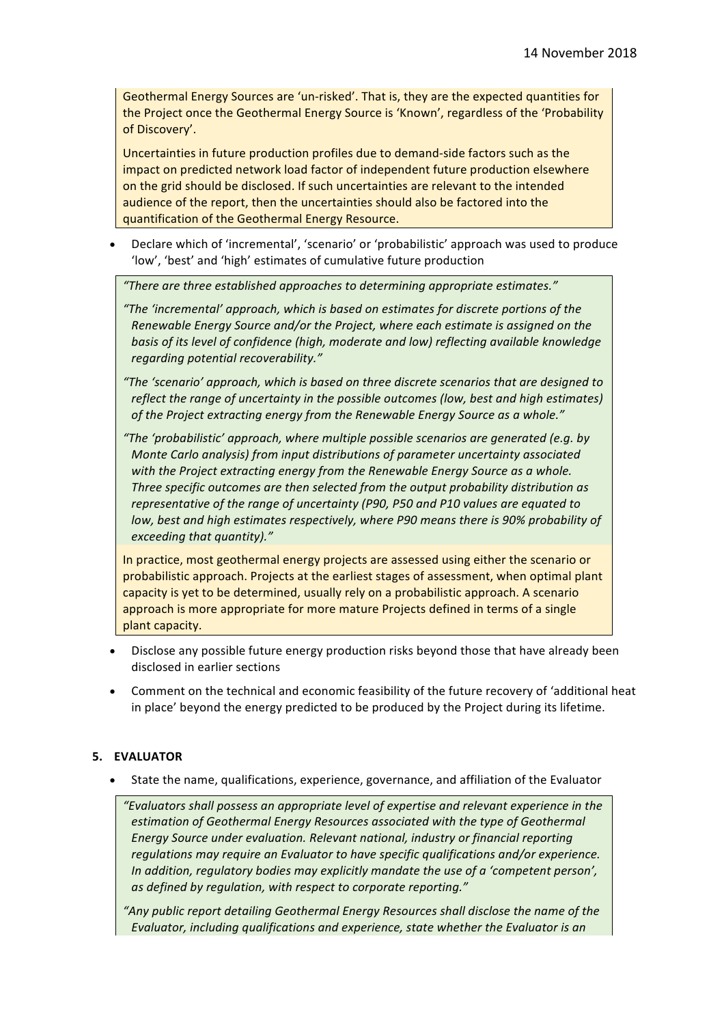Geothermal Energy Sources are 'un-risked'. That is, they are the expected quantities for the Project once the Geothermal Energy Source is 'Known', regardless of the 'Probability of Discovery'.

Uncertainties in future production profiles due to demand-side factors such as the impact on predicted network load factor of independent future production elsewhere on the grid should be disclosed. If such uncertainties are relevant to the intended audience of the report, then the uncertainties should also be factored into the quantification of the Geothermal Energy Resource.

Declare which of 'incremental', 'scenario' or 'probabilistic' approach was used to produce 'low', 'best' and 'high' estimates of cumulative future production

*"There are three established approaches to determining appropriate estimates."*

*"The 'incremental' approach, which is based on estimates for discrete portions of the Renewable Energy Source and/or the Project, where each estimate is assigned on the* basis of its level of confidence (high, moderate and low) reflecting available knowledge *regarding potential recoverability."*

*"The 'scenario' approach, which is based on three discrete scenarios that are designed to reflect the range of uncertainty in the possible outcomes (low, best and high estimates)* of the Project extracting energy from the Renewable Energy Source as a whole."

*"The 'probabilistic' approach, where multiple possible scenarios are generated (e.g. by Monte Carlo analysis)* from input distributions of parameter uncertainty associated with the Project extracting energy from the Renewable Energy Source as a whole. Three specific outcomes are then selected from the output probability distribution as *representative of the range of uncertainty (P90, P50 and P10 values are equated to low, best and high estimates respectively, where P90 means there is 90% probability of exceeding that quantity)."* 

In practice, most geothermal energy projects are assessed using either the scenario or probabilistic approach. Projects at the earliest stages of assessment, when optimal plant capacity is yet to be determined, usually rely on a probabilistic approach. A scenario approach is more appropriate for more mature Projects defined in terms of a single plant capacity.

- Disclose any possible future energy production risks beyond those that have already been disclosed in earlier sections
- Comment on the technical and economic feasibility of the future recovery of 'additional heat in place' beyond the energy predicted to be produced by the Project during its lifetime.

## **5. EVALUATOR**

State the name, qualifications, experience, governance, and affiliation of the Evaluator

"Evaluators shall possess an appropriate level of expertise and relevant experience in the estimation of Geothermal Energy Resources associated with the type of Geothermal *Energy Source under evaluation. Relevant national, industry or financial reporting regulations* may require an Evaluator to have specific qualifications and/or experience. *In addition, regulatory bodies may explicitly mandate the use of a 'competent person', as defined by regulation, with respect to corporate reporting."* 

"Any public report detailing Geothermal Energy Resources shall disclose the name of the *Evaluator, including qualifications and experience, state whether the Evaluator is an*